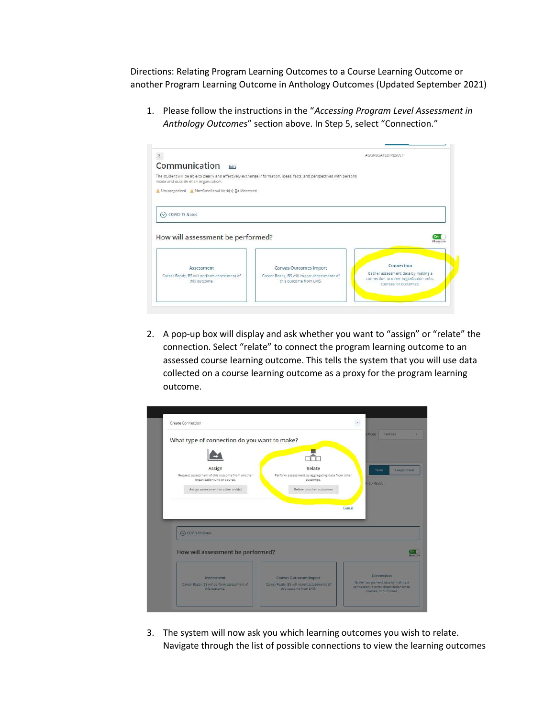Directions: Relating Program Learning Outcomes to a Course Learning Outcome or another Program Learning Outcome in Anthology Outcomes (Updated September 2021)

1. Please follow the instructions in the "Accessing Program Level Assessment in Anthology Outcomes" section above. In Step 5, select "Connection."



2. A pop-up box will display and ask whether you want to "assign" or "relate" the connection. Select "relate" to connect the program learning outcome to an assessed course learning outcome. This tells the system that you will use data collected on a course learning outcome as a proxy for the program learning outcome.

| What type of connection do you want to make?                                              |                                                                          | <b>Full Site</b><br>v Mode:                      |
|-------------------------------------------------------------------------------------------|--------------------------------------------------------------------------|--------------------------------------------------|
| Assign<br>Request assessment of this outcome from another<br>organization unit or course. | Relate<br>Perform assessment by aggregating data from other<br>outcomes. | Term<br>Longitudinal<br><b>TED RESULT</b>        |
|                                                                                           |                                                                          |                                                  |
| Assign assessment to other unit(s)                                                        | Relate to other outcomes                                                 |                                                  |
|                                                                                           |                                                                          | Cancel                                           |
| C COVID-19 Notes                                                                          |                                                                          |                                                  |
| How will assessment be performed?                                                         |                                                                          |                                                  |
| Assessment<br>Career Ready, BS will perform assessment of                                 | Canvas Outcomes Import<br>Career Ready, BS will import assessments of    | Connection<br>Gather assessment data by making a |

3. The system will now ask you which learning outcomes you wish to relate. Navigate through the list of possible connections to view the learning outcomes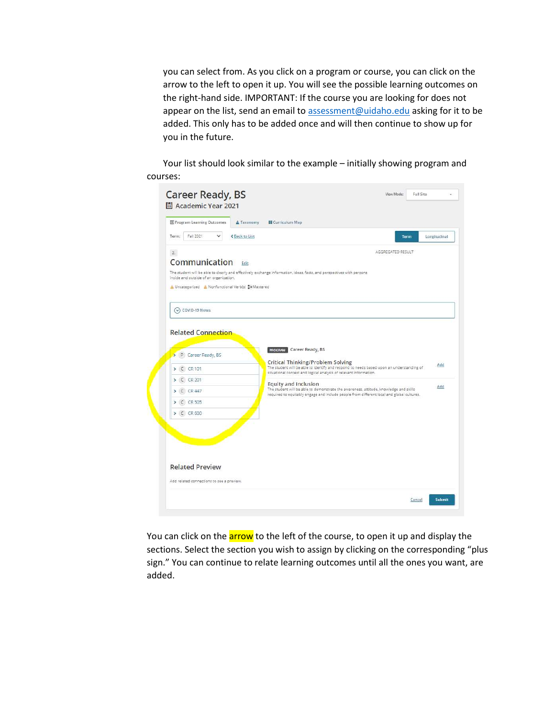you can select from. As you click on a program or course, you can click on the arrow to the left to open it up. You will see the possible learning outcomes on the right-hand side. IMPORTANT: If the course you are looking for does not appear on the list, send an email to assessment@uidaho.edu asking for it to be added. This only has to be added once and will then continue to show up for you in the future.

Your list should look similar to the example – initially showing program and courses:

| 图 Program Learning Outcomes<br>Taxonomy                                                                                     | <b>II</b> Curriculum Map                                                                                                                                                                                                                                                                                                                                                                                          |              |
|-----------------------------------------------------------------------------------------------------------------------------|-------------------------------------------------------------------------------------------------------------------------------------------------------------------------------------------------------------------------------------------------------------------------------------------------------------------------------------------------------------------------------------------------------------------|--------------|
| Term:<br>Fall 2021<br>$\checkmark$<br><b>≮ Back to List</b>                                                                 | Term                                                                                                                                                                                                                                                                                                                                                                                                              | Longitudinal |
| 2.                                                                                                                          | AGGREGATED RESULT                                                                                                                                                                                                                                                                                                                                                                                                 |              |
| Communication<br>Edit                                                                                                       |                                                                                                                                                                                                                                                                                                                                                                                                                   |              |
|                                                                                                                             | The student will be able to clearly and effectively exchange information, ideas, facts, and perspectives with persons,                                                                                                                                                                                                                                                                                            |              |
| inside and outside of an organization.<br>/ Uncategorized / Nonfunctional Verb(s) [# Mastered                               |                                                                                                                                                                                                                                                                                                                                                                                                                   |              |
|                                                                                                                             |                                                                                                                                                                                                                                                                                                                                                                                                                   |              |
|                                                                                                                             |                                                                                                                                                                                                                                                                                                                                                                                                                   |              |
| (v) COVID-19 Notes                                                                                                          |                                                                                                                                                                                                                                                                                                                                                                                                                   |              |
| > P Career Ready, BS                                                                                                        | <b>PROGRAM</b> Career Ready, BS                                                                                                                                                                                                                                                                                                                                                                                   |              |
| $\triangleright$ C CR 101<br>$\triangleright$ C CR 201<br>$\triangleright$ C CR 447<br>$\triangleright$ C CR 505<br>>CCR600 | Critical Thinking/Problem Solving<br>The student will be able to identify and respond to needs based upon an understanding of<br>situational context and logical analysis of relevant information.<br>Equity and Inclusion<br>The student will be able to demonstrate the awareness, attitude, knowledge and skills-<br>required to equitably engage and include people from different local and global cultures. | Add<br>Add   |
| <b>Related Connection</b><br><b>Related Preview</b>                                                                         |                                                                                                                                                                                                                                                                                                                                                                                                                   |              |

You can click on the **arrow** to the left of the course, to open it up and display the sections. Select the section you wish to assign by clicking on the corresponding "plus sign." You can continue to relate learning outcomes until all the ones you want, are added.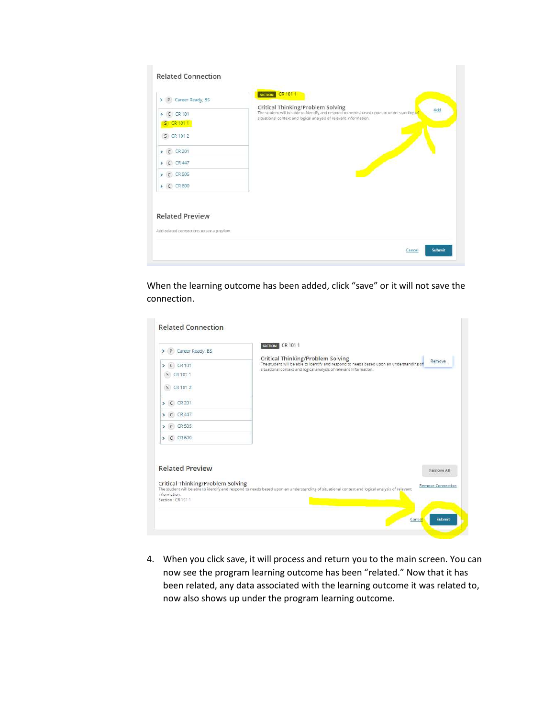| >   P   Career Ready, BS<br>$\triangleright$ (C CR 101<br>S CR 101 1 | SECTION CR 1011<br>Critical Thinking/Problem Solving<br>The student will be able to identify and respond to needs based upon an understanding of<br>Add<br>situational context and logical analysis of relevant information. |
|----------------------------------------------------------------------|------------------------------------------------------------------------------------------------------------------------------------------------------------------------------------------------------------------------------|
| S CR 101 2                                                           |                                                                                                                                                                                                                              |
| $\geq$ C CR 201                                                      |                                                                                                                                                                                                                              |
| $\sum$ C CR447                                                       |                                                                                                                                                                                                                              |
| $\triangleright$ (C) CR 505                                          |                                                                                                                                                                                                                              |
| $\triangleright$ (C) CR 600                                          |                                                                                                                                                                                                                              |
| <b>Related Preview</b><br>Add related connections to see a preview.  |                                                                                                                                                                                                                              |

When the learning outcome has been added, click "save" or it will not save the connection.

| > P Career Ready, BS                                        | SECTION CR 1011                                                                                                                                                                                    |                                        |
|-------------------------------------------------------------|----------------------------------------------------------------------------------------------------------------------------------------------------------------------------------------------------|----------------------------------------|
| > C CR 101                                                  | Critical Thinking/Problem Solving<br>The student will be able to identify and respond to needs based upon an understanding of<br>situational context and logical analysis of relevant information. | Remove                                 |
| S CR 1011                                                   |                                                                                                                                                                                                    |                                        |
| S CR 101 2                                                  |                                                                                                                                                                                                    |                                        |
| $\geq$ C CR 201                                             |                                                                                                                                                                                                    |                                        |
| > C CR 447                                                  |                                                                                                                                                                                                    |                                        |
| > C CR 505                                                  |                                                                                                                                                                                                    |                                        |
| > C CR 600                                                  |                                                                                                                                                                                                    |                                        |
| <b>Related Preview</b><br>Critical Thinking/Problem Solving |                                                                                                                                                                                                    | Remove All<br><b>Remove Connection</b> |
| information.<br>Section : CR 101 1                          | The student will be able to identify and respond to needs based upon an understanding of situational context and logical analysis of relevant                                                      |                                        |

4. When you click save, it will process and return you to the main screen. You can now see the program learning outcome has been "related." Now that it has been related, any data associated with the learning outcome it was related to, now also shows up under the program learning outcome.